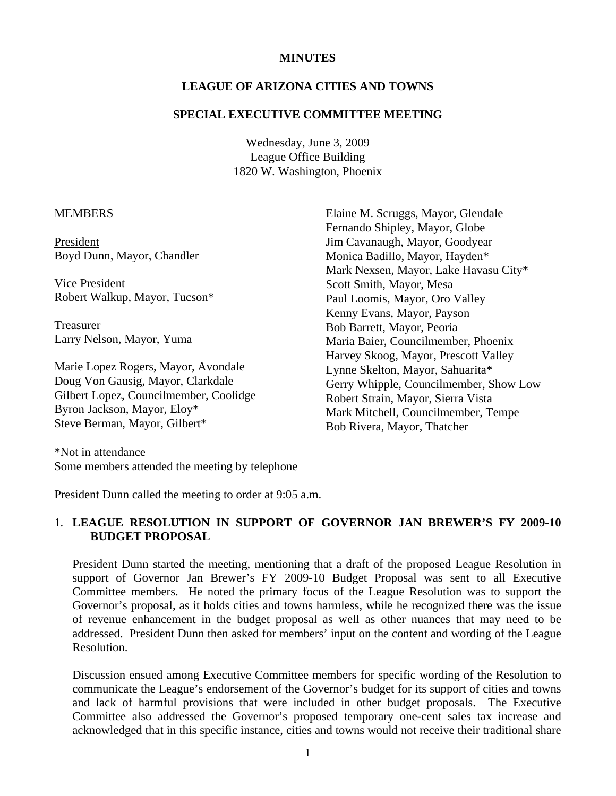## **MINUTES**

## **LEAGUE OF ARIZONA CITIES AND TOWNS**

#### **SPECIAL EXECUTIVE COMMITTEE MEETING**

Wednesday, June 3, 2009 League Office Building 1820 W. Washington, Phoenix

#### **MEMBERS**

President Boyd Dunn, Mayor, Chandler

 Vice President Robert Walkup, Mayor, Tucson\*

 Treasurer Larry Nelson, Mayor, Yuma

Marie Lopez Rogers, Mayor, Avondale Doug Von Gausig, Mayor, Clarkdale Gilbert Lopez, Councilmember, Coolidge Byron Jackson, Mayor, Eloy\* Steve Berman, Mayor, Gilbert\*

Elaine M. Scruggs, Mayor, Glendale Fernando Shipley, Mayor, Globe Jim Cavanaugh, Mayor, Goodyear Monica Badillo, Mayor, Hayden\* Mark Nexsen, Mayor, Lake Havasu City\* Scott Smith, Mayor, Mesa Paul Loomis, Mayor, Oro Valley Kenny Evans, Mayor, Payson Bob Barrett, Mayor, Peoria Maria Baier, Councilmember, Phoenix Harvey Skoog, Mayor, Prescott Valley Lynne Skelton, Mayor, Sahuarita\* Gerry Whipple, Councilmember, Show Low Robert Strain, Mayor, Sierra Vista Mark Mitchell, Councilmember, Tempe Bob Rivera, Mayor, Thatcher

\*Not in attendance Some members attended the meeting by telephone

President Dunn called the meeting to order at 9:05 a.m.

## 1. **LEAGUE RESOLUTION IN SUPPORT OF GOVERNOR JAN BREWER'S FY 2009-10 BUDGET PROPOSAL**

President Dunn started the meeting, mentioning that a draft of the proposed League Resolution in support of Governor Jan Brewer's FY 2009-10 Budget Proposal was sent to all Executive Committee members. He noted the primary focus of the League Resolution was to support the Governor's proposal, as it holds cities and towns harmless, while he recognized there was the issue of revenue enhancement in the budget proposal as well as other nuances that may need to be addressed. President Dunn then asked for members' input on the content and wording of the League Resolution.

Discussion ensued among Executive Committee members for specific wording of the Resolution to communicate the League's endorsement of the Governor's budget for its support of cities and towns and lack of harmful provisions that were included in other budget proposals. The Executive Committee also addressed the Governor's proposed temporary one-cent sales tax increase and acknowledged that in this specific instance, cities and towns would not receive their traditional share